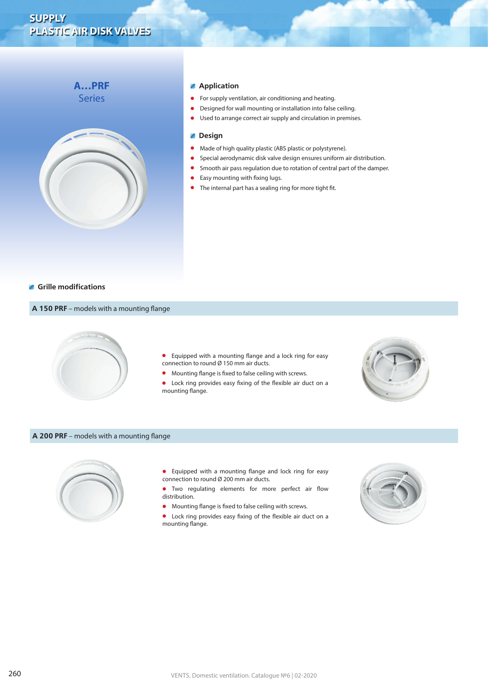# **A…PRF Series**



#### **Application**

- **•** For supply ventilation, air conditioning and heating.
- **•** Designed for wall mounting or installation into false ceiling.
- **•** Used to arrange correct air supply and circulation in premises.

#### **Design**  $\mathcal{L}_{\mathcal{A}}$

- **•** Made of high quality plastic (ABS plastic or polystyrene).
- **•** Special aerodynamic disk valve design ensures uniform air distribution.
- **•** Smooth air pass regulation due to rotation of central part of the damper.
- **•** Easy mounting with fixing lugs.
- **•** The internal part has a sealing ring for more tight fit.

#### **Grille modifications**

# **A 150 PRF** – models with a mounting flange



- **•** Equipped with a mounting flange and a lock ring for easy connection to round Ø 150 mm air ducts.
- **•** Mounting flange is fixed to false ceiling with screws.

**•** Lock ring provides easy fixing of the flexible air duct on a mounting flange.



## **A 200 PRF** – models with a mounting flange



- **•** Equipped with a mounting flange and lock ring for easy connection to round Ø 200 mm air ducts.
- **•** Two regulating elements for more perfect air flow distribution.
- **•** Mounting flange is fixed to false ceiling with screws.

**•** Lock ring provides easy fixing of the flexible air duct on a mounting flange.